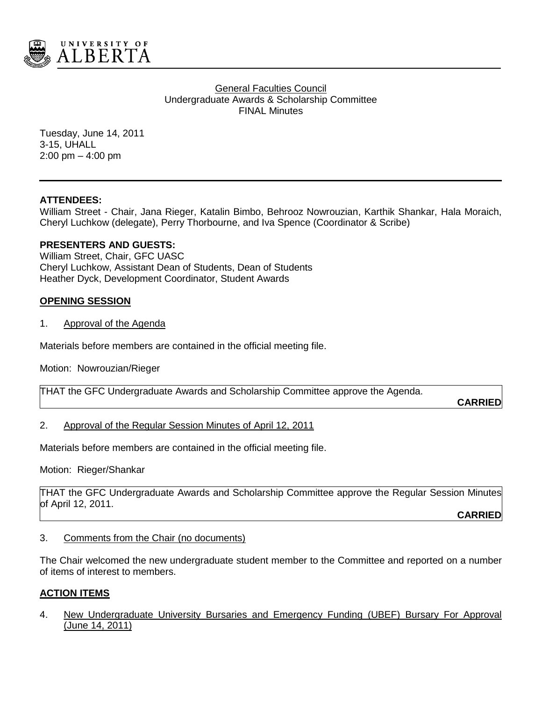

**General Faculties Council** Undergraduate Awards & Scholarship Committee FINAL Minutes

Tuesday, June 14, 2011 3-15, UHALL 2:00 pm – 4:00 pm

# **ATTENDEES:**

William Street - Chair, Jana Rieger, Katalin Bimbo, Behrooz Nowrouzian, Karthik Shankar, Hala Moraich, Cheryl Luchkow (delegate), Perry Thorbourne, and Iva Spence (Coordinator & Scribe)

## **PRESENTERS AND GUESTS:**

William Street, Chair, GFC UASC Cheryl Luchkow, Assistant Dean of Students, Dean of Students Heather Dyck, Development Coordinator, Student Awards

## **OPENING SESSION**

1. Approval of the Agenda

Materials before members are contained in the official meeting file.

Motion: Nowrouzian/Rieger

THAT the GFC Undergraduate Awards and Scholarship Committee approve the Agenda.

**CARRIED**

#### 2. Approval of the Regular Session Minutes of April 12, 2011

Materials before members are contained in the official meeting file.

Motion: Rieger/Shankar

THAT the GFC Undergraduate Awards and Scholarship Committee approve the Regular Session Minutes of April 12, 2011.

**CARRIED**

3. Comments from the Chair (no documents)

The Chair welcomed the new undergraduate student member to the Committee and reported on a number of items of interest to members.

#### **ACTION ITEMS**

4. New Undergraduate University Bursaries and Emergency Funding (UBEF) Bursary For Approval (June 14, 2011)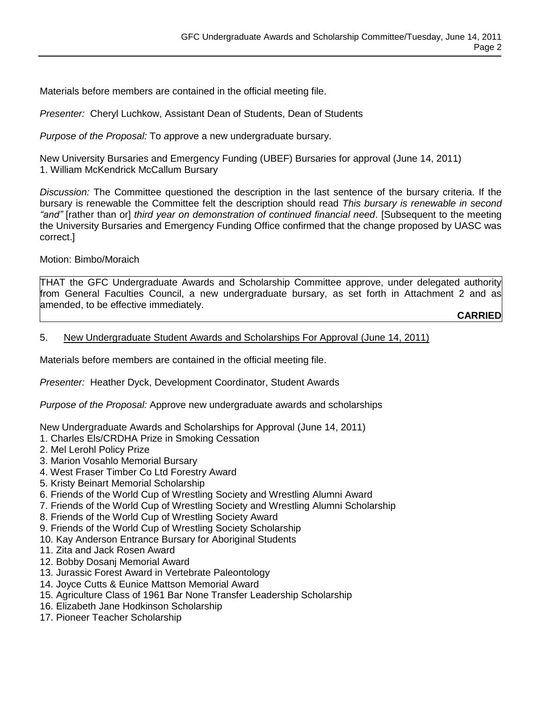Materials before members are contained in the official meeting file.

*Presenter:* Cheryl Luchkow, Assistant Dean of Students, Dean of Students

*Purpose of the Proposal:* To *a*pprove a new undergraduate bursary.

New University Bursaries and Emergency Funding (UBEF) Bursaries for approval (June 14, 2011) 1. William McKendrick McCallum Bursary

*Discussion:* The Committee questioned the description in the last sentence of the bursary criteria. If the bursary is renewable the Committee felt the description should read *This bursary is renewable in second "and"* [rather than or] *third year on demonstration of continued financial need*. [Subsequent to the meeting the University Bursaries and Emergency Funding Office confirmed that the change proposed by UASC was correct.]

Motion: Bimbo/Moraich

THAT the GFC Undergraduate Awards and Scholarship Committee approve, under delegated authority from General Faculties Council, a new undergraduate bursary, as set forth in Attachment 2 and as amended, to be effective immediately.

**CARRIED**

#### 5. New Undergraduate Student Awards and Scholarships For Approval (June 14, 2011)

Materials before members are contained in the official meeting file.

*Presenter:* Heather Dyck, Development Coordinator, Student Awards

*Purpose of the Proposal:* Approve new undergraduate awards and scholarships

New Undergraduate Awards and Scholarships for Approval (June 14, 2011)

- 1. Charles Els/CRDHA Prize in Smoking Cessation
- 2. Mel Lerohl Policy Prize
- 3. Marion Vosahlo Memorial Bursary
- 4. West Fraser Timber Co Ltd Forestry Award
- 5. Kristy Beinart Memorial Scholarship
- 6. Friends of the World Cup of Wrestling Society and Wrestling Alumni Award
- 7. Friends of the World Cup of Wrestling Society and Wrestling Alumni Scholarship
- 8. Friends of the World Cup of Wrestling Society Award
- 9. Friends of the World Cup of Wrestling Society Scholarship
- 10. Kay Anderson Entrance Bursary for Aboriginal Students
- 11. Zita and Jack Rosen Award
- 12. Bobby Dosanj Memorial Award
- 13. Jurassic Forest Award in Vertebrate Paleontology
- 14. Joyce Cutts & Eunice Mattson Memorial Award
- 15. Agriculture Class of 1961 Bar None Transfer Leadership Scholarship
- 16. Elizabeth Jane Hodkinson Scholarship
- 17. Pioneer Teacher Scholarship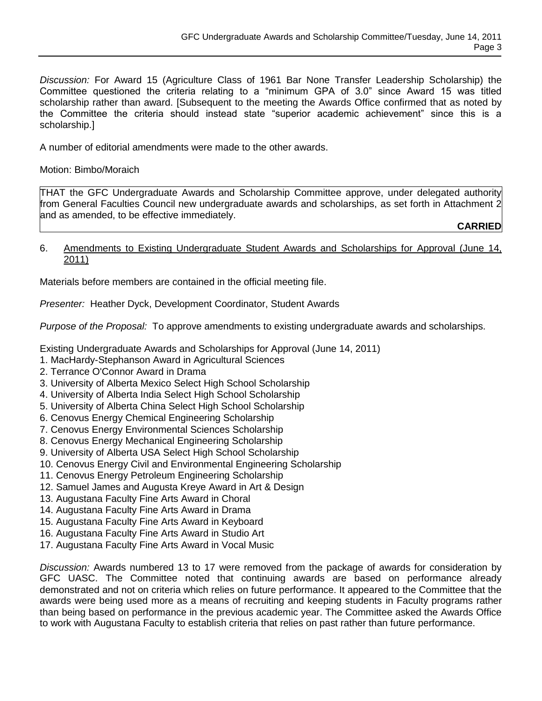*Discussion:* For Award 15 (Agriculture Class of 1961 Bar None Transfer Leadership Scholarship) the Committee questioned the criteria relating to a "minimum GPA of 3.0" since Award 15 was titled scholarship rather than award. [Subsequent to the meeting the Awards Office confirmed that as noted by the Committee the criteria should instead state "superior academic achievement" since this is a scholarship.]

A number of editorial amendments were made to the other awards.

Motion: Bimbo/Moraich

THAT the GFC Undergraduate Awards and Scholarship Committee approve, under delegated authority from General Faculties Council new undergraduate awards and scholarships, as set forth in Attachment 2 and as amended, to be effective immediately.

**CARRIED**

## 6. Amendments to Existing Undergraduate Student Awards and Scholarships for Approval (June 14, 2011)

Materials before members are contained in the official meeting file.

*Presenter:* Heather Dyck, Development Coordinator, Student Awards

*Purpose of the Proposal:* To approve amendments to existing undergraduate awards and scholarships.

Existing Undergraduate Awards and Scholarships for Approval (June 14, 2011)

- 1. MacHardy-Stephanson Award in Agricultural Sciences
- 2. Terrance O'Connor Award in Drama
- 3. University of Alberta Mexico Select High School Scholarship
- 4. University of Alberta India Select High School Scholarship
- 5. University of Alberta China Select High School Scholarship
- 6. Cenovus Energy Chemical Engineering Scholarship
- 7. Cenovus Energy Environmental Sciences Scholarship
- 8. Cenovus Energy Mechanical Engineering Scholarship
- 9. University of Alberta USA Select High School Scholarship
- 10. Cenovus Energy Civil and Environmental Engineering Scholarship
- 11. Cenovus Energy Petroleum Engineering Scholarship
- 12. Samuel James and Augusta Kreye Award in Art & Design
- 13. Augustana Faculty Fine Arts Award in Choral
- 14. Augustana Faculty Fine Arts Award in Drama
- 15. Augustana Faculty Fine Arts Award in Keyboard
- 16. Augustana Faculty Fine Arts Award in Studio Art
- 17. Augustana Faculty Fine Arts Award in Vocal Music

*Discussion:* Awards numbered 13 to 17 were removed from the package of awards for consideration by GFC UASC. The Committee noted that continuing awards are based on performance already demonstrated and not on criteria which relies on future performance. It appeared to the Committee that the awards were being used more as a means of recruiting and keeping students in Faculty programs rather than being based on performance in the previous academic year. The Committee asked the Awards Office to work with Augustana Faculty to establish criteria that relies on past rather than future performance.